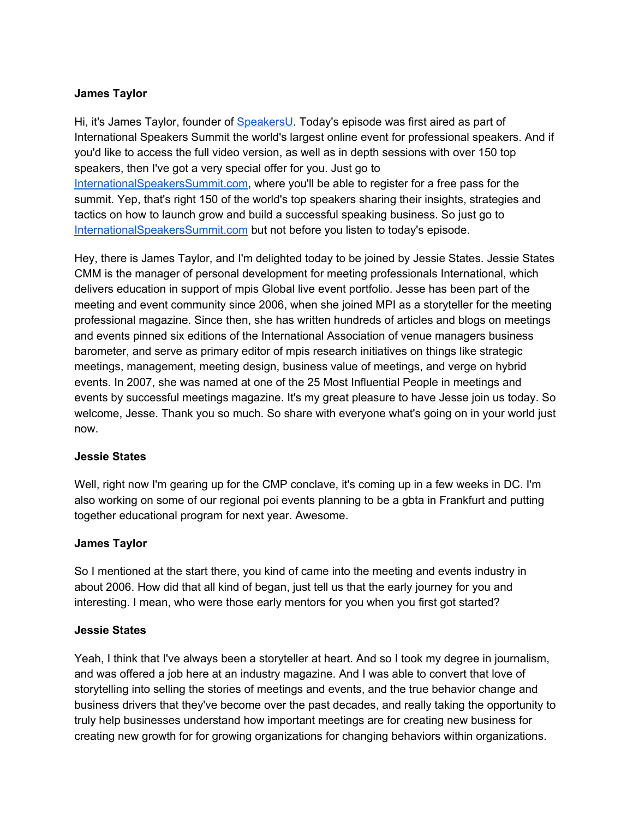## **James Taylor**

Hi, it's James Taylor, founder of [SpeakersU.](https://speakersu.com/) Today's episode was first aired as part of International Speakers Summit the world's largest online event for professional speakers. And if you'd like to access the full video version, as well as in depth sessions with over 150 top speakers, then I've got a very special offer for you. Just go to [InternationalSpeakersSummit.com](http://internationalspeakerssummit.com/), where you'll be able to register for a free pass for the summit. Yep, that's right 150 of the world's top speakers sharing their insights, strategies and tactics on how to launch grow and build a successful speaking business. So just go t[o](http://internationalspeakerssummit.com/) [InternationalSpeakersSummit.com](http://internationalspeakerssummit.com/) but not before you listen to today's episode.

Hey, there is James Taylor, and I'm delighted today to be joined by Jessie States. Jessie States CMM is the manager of personal development for meeting professionals International, which delivers education in support of mpis Global live event portfolio. Jesse has been part of the meeting and event community since 2006, when she joined MPI as a storyteller for the meeting professional magazine. Since then, she has written hundreds of articles and blogs on meetings and events pinned six editions of the International Association of venue managers business barometer, and serve as primary editor of mpis research initiatives on things like strategic meetings, management, meeting design, business value of meetings, and verge on hybrid events. In 2007, she was named at one of the 25 Most Influential People in meetings and events by successful meetings magazine. It's my great pleasure to have Jesse join us today. So welcome, Jesse. Thank you so much. So share with everyone what's going on in your world just now.

### **Jessie States**

Well, right now I'm gearing up for the CMP conclave, it's coming up in a few weeks in DC. I'm also working on some of our regional poi events planning to be a gbta in Frankfurt and putting together educational program for next year. Awesome.

### **James Taylor**

So I mentioned at the start there, you kind of came into the meeting and events industry in about 2006. How did that all kind of began, just tell us that the early journey for you and interesting. I mean, who were those early mentors for you when you first got started?

### **Jessie States**

Yeah, I think that I've always been a storyteller at heart. And so I took my degree in journalism, and was offered a job here at an industry magazine. And I was able to convert that love of storytelling into selling the stories of meetings and events, and the true behavior change and business drivers that they've become over the past decades, and really taking the opportunity to truly help businesses understand how important meetings are for creating new business for creating new growth for for growing organizations for changing behaviors within organizations.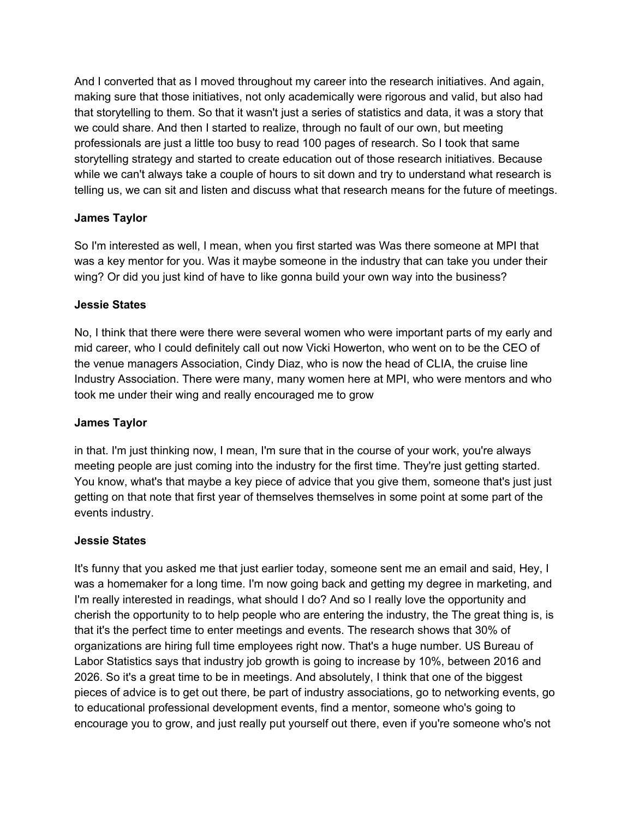And I converted that as I moved throughout my career into the research initiatives. And again, making sure that those initiatives, not only academically were rigorous and valid, but also had that storytelling to them. So that it wasn't just a series of statistics and data, it was a story that we could share. And then I started to realize, through no fault of our own, but meeting professionals are just a little too busy to read 100 pages of research. So I took that same storytelling strategy and started to create education out of those research initiatives. Because while we can't always take a couple of hours to sit down and try to understand what research is telling us, we can sit and listen and discuss what that research means for the future of meetings.

### **James Taylor**

So I'm interested as well, I mean, when you first started was Was there someone at MPI that was a key mentor for you. Was it maybe someone in the industry that can take you under their wing? Or did you just kind of have to like gonna build your own way into the business?

### **Jessie States**

No, I think that there were there were several women who were important parts of my early and mid career, who I could definitely call out now Vicki Howerton, who went on to be the CEO of the venue managers Association, Cindy Diaz, who is now the head of CLIA, the cruise line Industry Association. There were many, many women here at MPI, who were mentors and who took me under their wing and really encouraged me to grow

### **James Taylor**

in that. I'm just thinking now, I mean, I'm sure that in the course of your work, you're always meeting people are just coming into the industry for the first time. They're just getting started. You know, what's that maybe a key piece of advice that you give them, someone that's just just getting on that note that first year of themselves themselves in some point at some part of the events industry.

### **Jessie States**

It's funny that you asked me that just earlier today, someone sent me an email and said, Hey, I was a homemaker for a long time. I'm now going back and getting my degree in marketing, and I'm really interested in readings, what should I do? And so I really love the opportunity and cherish the opportunity to to help people who are entering the industry, the The great thing is, is that it's the perfect time to enter meetings and events. The research shows that 30% of organizations are hiring full time employees right now. That's a huge number. US Bureau of Labor Statistics says that industry job growth is going to increase by 10%, between 2016 and 2026. So it's a great time to be in meetings. And absolutely, I think that one of the biggest pieces of advice is to get out there, be part of industry associations, go to networking events, go to educational professional development events, find a mentor, someone who's going to encourage you to grow, and just really put yourself out there, even if you're someone who's not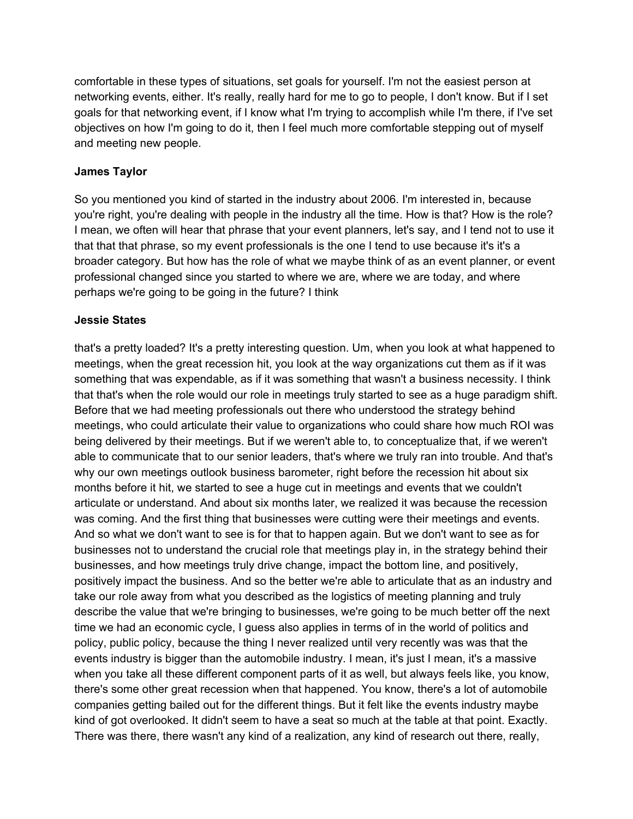comfortable in these types of situations, set goals for yourself. I'm not the easiest person at networking events, either. It's really, really hard for me to go to people, I don't know. But if I set goals for that networking event, if I know what I'm trying to accomplish while I'm there, if I've set objectives on how I'm going to do it, then I feel much more comfortable stepping out of myself and meeting new people.

### **James Taylor**

So you mentioned you kind of started in the industry about 2006. I'm interested in, because you're right, you're dealing with people in the industry all the time. How is that? How is the role? I mean, we often will hear that phrase that your event planners, let's say, and I tend not to use it that that that phrase, so my event professionals is the one I tend to use because it's it's a broader category. But how has the role of what we maybe think of as an event planner, or event professional changed since you started to where we are, where we are today, and where perhaps we're going to be going in the future? I think

### **Jessie States**

that's a pretty loaded? It's a pretty interesting question. Um, when you look at what happened to meetings, when the great recession hit, you look at the way organizations cut them as if it was something that was expendable, as if it was something that wasn't a business necessity. I think that that's when the role would our role in meetings truly started to see as a huge paradigm shift. Before that we had meeting professionals out there who understood the strategy behind meetings, who could articulate their value to organizations who could share how much ROI was being delivered by their meetings. But if we weren't able to, to conceptualize that, if we weren't able to communicate that to our senior leaders, that's where we truly ran into trouble. And that's why our own meetings outlook business barometer, right before the recession hit about six months before it hit, we started to see a huge cut in meetings and events that we couldn't articulate or understand. And about six months later, we realized it was because the recession was coming. And the first thing that businesses were cutting were their meetings and events. And so what we don't want to see is for that to happen again. But we don't want to see as for businesses not to understand the crucial role that meetings play in, in the strategy behind their businesses, and how meetings truly drive change, impact the bottom line, and positively, positively impact the business. And so the better we're able to articulate that as an industry and take our role away from what you described as the logistics of meeting planning and truly describe the value that we're bringing to businesses, we're going to be much better off the next time we had an economic cycle, I guess also applies in terms of in the world of politics and policy, public policy, because the thing I never realized until very recently was was that the events industry is bigger than the automobile industry. I mean, it's just I mean, it's a massive when you take all these different component parts of it as well, but always feels like, you know, there's some other great recession when that happened. You know, there's a lot of automobile companies getting bailed out for the different things. But it felt like the events industry maybe kind of got overlooked. It didn't seem to have a seat so much at the table at that point. Exactly. There was there, there wasn't any kind of a realization, any kind of research out there, really,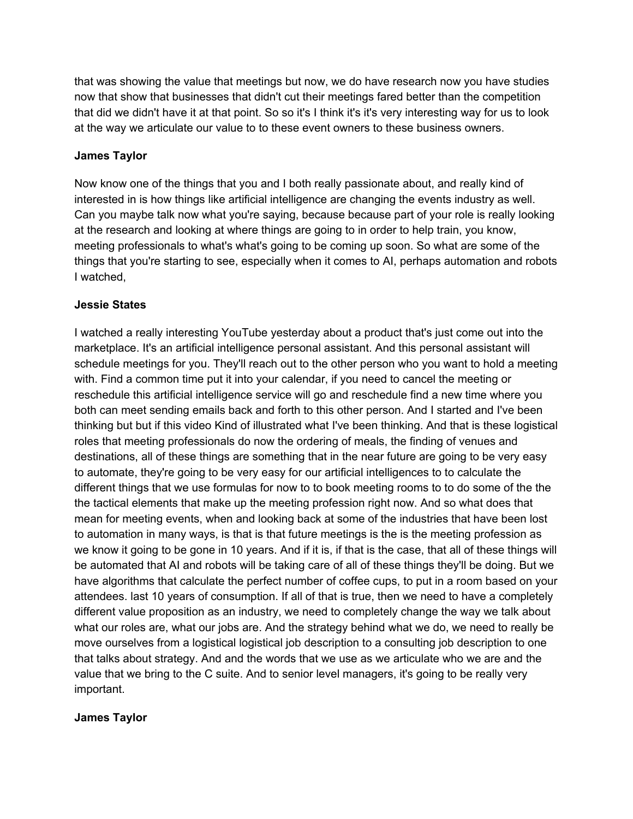that was showing the value that meetings but now, we do have research now you have studies now that show that businesses that didn't cut their meetings fared better than the competition that did we didn't have it at that point. So so it's I think it's it's very interesting way for us to look at the way we articulate our value to to these event owners to these business owners.

### **James Taylor**

Now know one of the things that you and I both really passionate about, and really kind of interested in is how things like artificial intelligence are changing the events industry as well. Can you maybe talk now what you're saying, because because part of your role is really looking at the research and looking at where things are going to in order to help train, you know, meeting professionals to what's what's going to be coming up soon. So what are some of the things that you're starting to see, especially when it comes to AI, perhaps automation and robots I watched,

### **Jessie States**

I watched a really interesting YouTube yesterday about a product that's just come out into the marketplace. It's an artificial intelligence personal assistant. And this personal assistant will schedule meetings for you. They'll reach out to the other person who you want to hold a meeting with. Find a common time put it into your calendar, if you need to cancel the meeting or reschedule this artificial intelligence service will go and reschedule find a new time where you both can meet sending emails back and forth to this other person. And I started and I've been thinking but but if this video Kind of illustrated what I've been thinking. And that is these logistical roles that meeting professionals do now the ordering of meals, the finding of venues and destinations, all of these things are something that in the near future are going to be very easy to automate, they're going to be very easy for our artificial intelligences to to calculate the different things that we use formulas for now to to book meeting rooms to to do some of the the the tactical elements that make up the meeting profession right now. And so what does that mean for meeting events, when and looking back at some of the industries that have been lost to automation in many ways, is that is that future meetings is the is the meeting profession as we know it going to be gone in 10 years. And if it is, if that is the case, that all of these things will be automated that AI and robots will be taking care of all of these things they'll be doing. But we have algorithms that calculate the perfect number of coffee cups, to put in a room based on your attendees. last 10 years of consumption. If all of that is true, then we need to have a completely different value proposition as an industry, we need to completely change the way we talk about what our roles are, what our jobs are. And the strategy behind what we do, we need to really be move ourselves from a logistical logistical job description to a consulting job description to one that talks about strategy. And and the words that we use as we articulate who we are and the value that we bring to the C suite. And to senior level managers, it's going to be really very important.

### **James Taylor**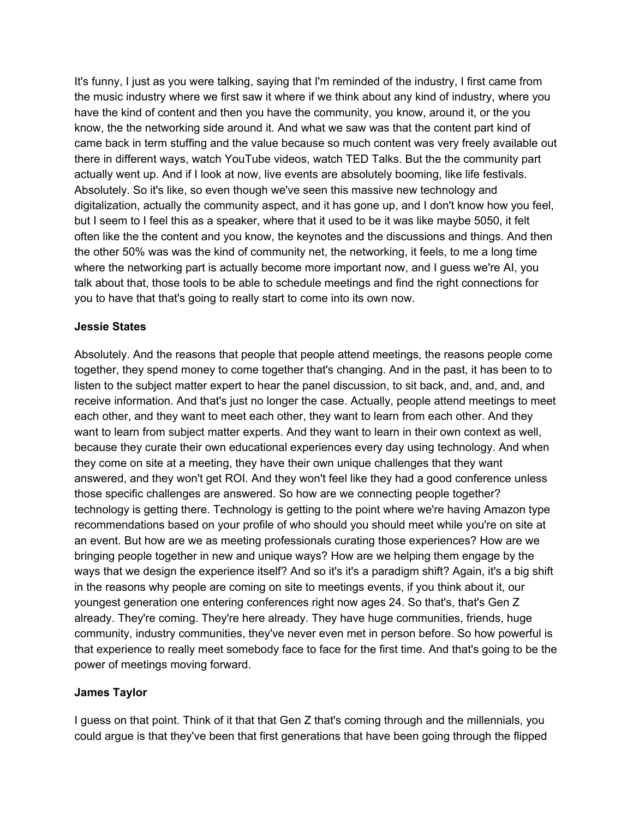It's funny, I just as you were talking, saying that I'm reminded of the industry, I first came from the music industry where we first saw it where if we think about any kind of industry, where you have the kind of content and then you have the community, you know, around it, or the you know, the the networking side around it. And what we saw was that the content part kind of came back in term stuffing and the value because so much content was very freely available out there in different ways, watch YouTube videos, watch TED Talks. But the the community part actually went up. And if I look at now, live events are absolutely booming, like life festivals. Absolutely. So it's like, so even though we've seen this massive new technology and digitalization, actually the community aspect, and it has gone up, and I don't know how you feel, but I seem to I feel this as a speaker, where that it used to be it was like maybe 5050, it felt often like the the content and you know, the keynotes and the discussions and things. And then the other 50% was was the kind of community net, the networking, it feels, to me a long time where the networking part is actually become more important now, and I guess we're AI, you talk about that, those tools to be able to schedule meetings and find the right connections for you to have that that's going to really start to come into its own now.

### **Jessie States**

Absolutely. And the reasons that people that people attend meetings, the reasons people come together, they spend money to come together that's changing. And in the past, it has been to to listen to the subject matter expert to hear the panel discussion, to sit back, and, and, and, and receive information. And that's just no longer the case. Actually, people attend meetings to meet each other, and they want to meet each other, they want to learn from each other. And they want to learn from subject matter experts. And they want to learn in their own context as well, because they curate their own educational experiences every day using technology. And when they come on site at a meeting, they have their own unique challenges that they want answered, and they won't get ROI. And they won't feel like they had a good conference unless those specific challenges are answered. So how are we connecting people together? technology is getting there. Technology is getting to the point where we're having Amazon type recommendations based on your profile of who should you should meet while you're on site at an event. But how are we as meeting professionals curating those experiences? How are we bringing people together in new and unique ways? How are we helping them engage by the ways that we design the experience itself? And so it's it's a paradigm shift? Again, it's a big shift in the reasons why people are coming on site to meetings events, if you think about it, our youngest generation one entering conferences right now ages 24. So that's, that's Gen Z already. They're coming. They're here already. They have huge communities, friends, huge community, industry communities, they've never even met in person before. So how powerful is that experience to really meet somebody face to face for the first time. And that's going to be the power of meetings moving forward.

### **James Taylor**

I guess on that point. Think of it that that Gen Z that's coming through and the millennials, you could argue is that they've been that first generations that have been going through the flipped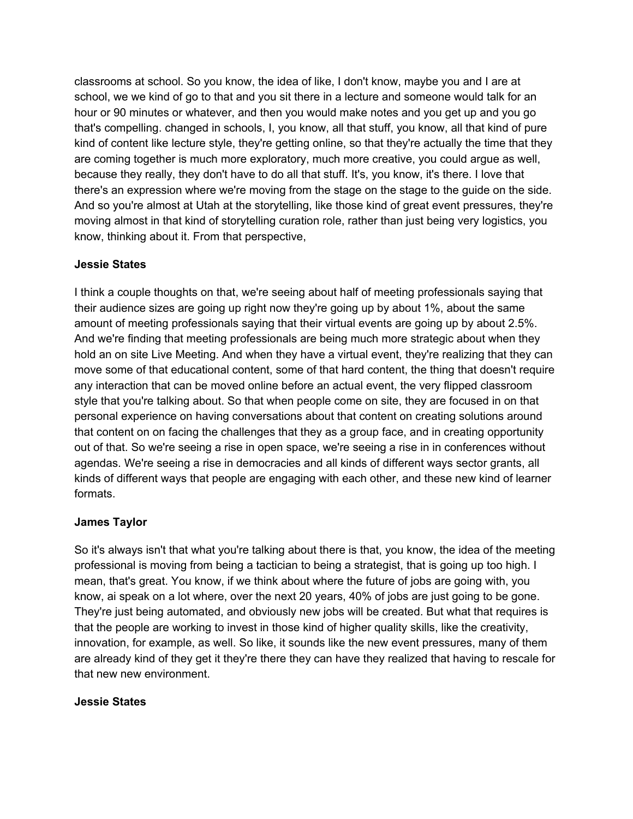classrooms at school. So you know, the idea of like, I don't know, maybe you and I are at school, we we kind of go to that and you sit there in a lecture and someone would talk for an hour or 90 minutes or whatever, and then you would make notes and you get up and you go that's compelling. changed in schools, I, you know, all that stuff, you know, all that kind of pure kind of content like lecture style, they're getting online, so that they're actually the time that they are coming together is much more exploratory, much more creative, you could argue as well, because they really, they don't have to do all that stuff. It's, you know, it's there. I love that there's an expression where we're moving from the stage on the stage to the guide on the side. And so you're almost at Utah at the storytelling, like those kind of great event pressures, they're moving almost in that kind of storytelling curation role, rather than just being very logistics, you know, thinking about it. From that perspective,

### **Jessie States**

I think a couple thoughts on that, we're seeing about half of meeting professionals saying that their audience sizes are going up right now they're going up by about 1%, about the same amount of meeting professionals saying that their virtual events are going up by about 2.5%. And we're finding that meeting professionals are being much more strategic about when they hold an on site Live Meeting. And when they have a virtual event, they're realizing that they can move some of that educational content, some of that hard content, the thing that doesn't require any interaction that can be moved online before an actual event, the very flipped classroom style that you're talking about. So that when people come on site, they are focused in on that personal experience on having conversations about that content on creating solutions around that content on on facing the challenges that they as a group face, and in creating opportunity out of that. So we're seeing a rise in open space, we're seeing a rise in in conferences without agendas. We're seeing a rise in democracies and all kinds of different ways sector grants, all kinds of different ways that people are engaging with each other, and these new kind of learner formats.

## **James Taylor**

So it's always isn't that what you're talking about there is that, you know, the idea of the meeting professional is moving from being a tactician to being a strategist, that is going up too high. I mean, that's great. You know, if we think about where the future of jobs are going with, you know, ai speak on a lot where, over the next 20 years, 40% of jobs are just going to be gone. They're just being automated, and obviously new jobs will be created. But what that requires is that the people are working to invest in those kind of higher quality skills, like the creativity, innovation, for example, as well. So like, it sounds like the new event pressures, many of them are already kind of they get it they're there they can have they realized that having to rescale for that new new environment.

### **Jessie States**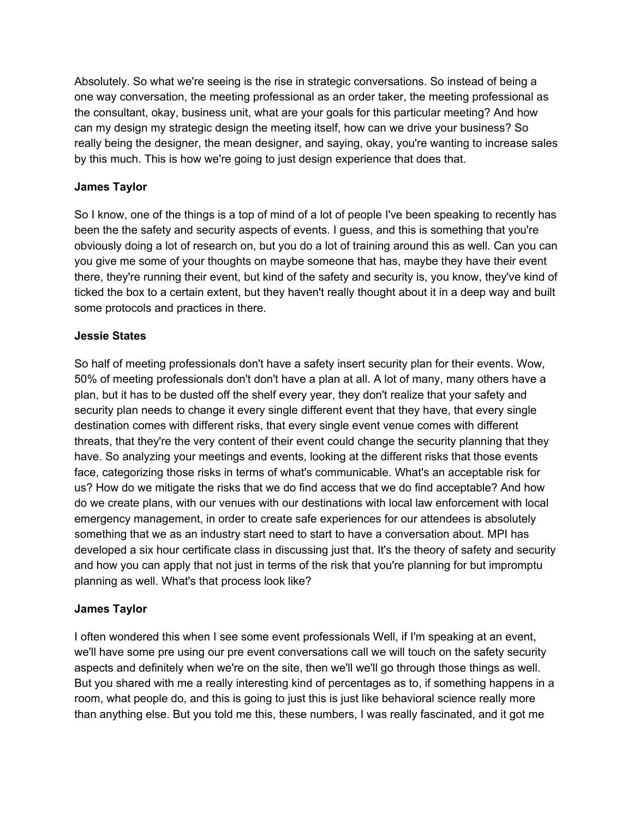Absolutely. So what we're seeing is the rise in strategic conversations. So instead of being a one way conversation, the meeting professional as an order taker, the meeting professional as the consultant, okay, business unit, what are your goals for this particular meeting? And how can my design my strategic design the meeting itself, how can we drive your business? So really being the designer, the mean designer, and saying, okay, you're wanting to increase sales by this much. This is how we're going to just design experience that does that.

## **James Taylor**

So I know, one of the things is a top of mind of a lot of people I've been speaking to recently has been the the safety and security aspects of events. I guess, and this is something that you're obviously doing a lot of research on, but you do a lot of training around this as well. Can you can you give me some of your thoughts on maybe someone that has, maybe they have their event there, they're running their event, but kind of the safety and security is, you know, they've kind of ticked the box to a certain extent, but they haven't really thought about it in a deep way and built some protocols and practices in there.

### **Jessie States**

So half of meeting professionals don't have a safety insert security plan for their events. Wow, 50% of meeting professionals don't don't have a plan at all. A lot of many, many others have a plan, but it has to be dusted off the shelf every year, they don't realize that your safety and security plan needs to change it every single different event that they have, that every single destination comes with different risks, that every single event venue comes with different threats, that they're the very content of their event could change the security planning that they have. So analyzing your meetings and events, looking at the different risks that those events face, categorizing those risks in terms of what's communicable. What's an acceptable risk for us? How do we mitigate the risks that we do find access that we do find acceptable? And how do we create plans, with our venues with our destinations with local law enforcement with local emergency management, in order to create safe experiences for our attendees is absolutely something that we as an industry start need to start to have a conversation about. MPI has developed a six hour certificate class in discussing just that. It's the theory of safety and security and how you can apply that not just in terms of the risk that you're planning for but impromptu planning as well. What's that process look like?

## **James Taylor**

I often wondered this when I see some event professionals Well, if I'm speaking at an event, we'll have some pre using our pre event conversations call we will touch on the safety security aspects and definitely when we're on the site, then we'll we'll go through those things as well. But you shared with me a really interesting kind of percentages as to, if something happens in a room, what people do, and this is going to just this is just like behavioral science really more than anything else. But you told me this, these numbers, I was really fascinated, and it got me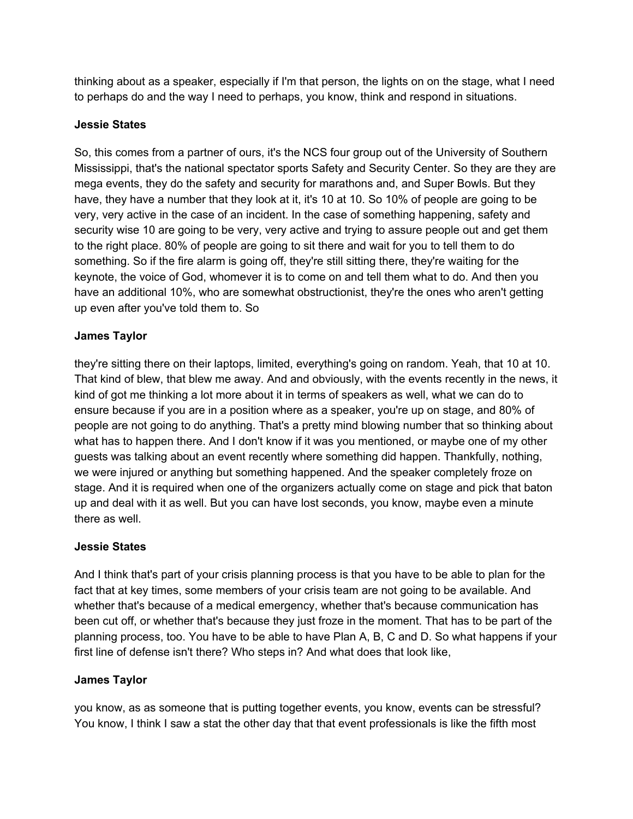thinking about as a speaker, especially if I'm that person, the lights on on the stage, what I need to perhaps do and the way I need to perhaps, you know, think and respond in situations.

### **Jessie States**

So, this comes from a partner of ours, it's the NCS four group out of the University of Southern Mississippi, that's the national spectator sports Safety and Security Center. So they are they are mega events, they do the safety and security for marathons and, and Super Bowls. But they have, they have a number that they look at it, it's 10 at 10. So 10% of people are going to be very, very active in the case of an incident. In the case of something happening, safety and security wise 10 are going to be very, very active and trying to assure people out and get them to the right place. 80% of people are going to sit there and wait for you to tell them to do something. So if the fire alarm is going off, they're still sitting there, they're waiting for the keynote, the voice of God, whomever it is to come on and tell them what to do. And then you have an additional 10%, who are somewhat obstructionist, they're the ones who aren't getting up even after you've told them to. So

## **James Taylor**

they're sitting there on their laptops, limited, everything's going on random. Yeah, that 10 at 10. That kind of blew, that blew me away. And and obviously, with the events recently in the news, it kind of got me thinking a lot more about it in terms of speakers as well, what we can do to ensure because if you are in a position where as a speaker, you're up on stage, and 80% of people are not going to do anything. That's a pretty mind blowing number that so thinking about what has to happen there. And I don't know if it was you mentioned, or maybe one of my other guests was talking about an event recently where something did happen. Thankfully, nothing, we were injured or anything but something happened. And the speaker completely froze on stage. And it is required when one of the organizers actually come on stage and pick that baton up and deal with it as well. But you can have lost seconds, you know, maybe even a minute there as well.

## **Jessie States**

And I think that's part of your crisis planning process is that you have to be able to plan for the fact that at key times, some members of your crisis team are not going to be available. And whether that's because of a medical emergency, whether that's because communication has been cut off, or whether that's because they just froze in the moment. That has to be part of the planning process, too. You have to be able to have Plan A, B, C and D. So what happens if your first line of defense isn't there? Who steps in? And what does that look like,

## **James Taylor**

you know, as as someone that is putting together events, you know, events can be stressful? You know, I think I saw a stat the other day that that event professionals is like the fifth most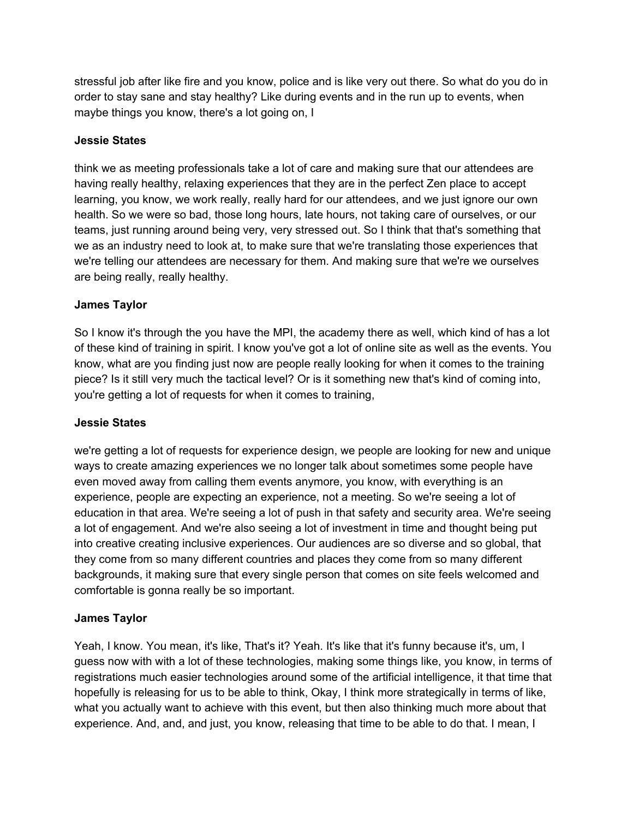stressful job after like fire and you know, police and is like very out there. So what do you do in order to stay sane and stay healthy? Like during events and in the run up to events, when maybe things you know, there's a lot going on, I

### **Jessie States**

think we as meeting professionals take a lot of care and making sure that our attendees are having really healthy, relaxing experiences that they are in the perfect Zen place to accept learning, you know, we work really, really hard for our attendees, and we just ignore our own health. So we were so bad, those long hours, late hours, not taking care of ourselves, or our teams, just running around being very, very stressed out. So I think that that's something that we as an industry need to look at, to make sure that we're translating those experiences that we're telling our attendees are necessary for them. And making sure that we're we ourselves are being really, really healthy.

### **James Taylor**

So I know it's through the you have the MPI, the academy there as well, which kind of has a lot of these kind of training in spirit. I know you've got a lot of online site as well as the events. You know, what are you finding just now are people really looking for when it comes to the training piece? Is it still very much the tactical level? Or is it something new that's kind of coming into, you're getting a lot of requests for when it comes to training,

### **Jessie States**

we're getting a lot of requests for experience design, we people are looking for new and unique ways to create amazing experiences we no longer talk about sometimes some people have even moved away from calling them events anymore, you know, with everything is an experience, people are expecting an experience, not a meeting. So we're seeing a lot of education in that area. We're seeing a lot of push in that safety and security area. We're seeing a lot of engagement. And we're also seeing a lot of investment in time and thought being put into creative creating inclusive experiences. Our audiences are so diverse and so global, that they come from so many different countries and places they come from so many different backgrounds, it making sure that every single person that comes on site feels welcomed and comfortable is gonna really be so important.

### **James Taylor**

Yeah, I know. You mean, it's like, That's it? Yeah. It's like that it's funny because it's, um, I guess now with with a lot of these technologies, making some things like, you know, in terms of registrations much easier technologies around some of the artificial intelligence, it that time that hopefully is releasing for us to be able to think, Okay, I think more strategically in terms of like, what you actually want to achieve with this event, but then also thinking much more about that experience. And, and, and just, you know, releasing that time to be able to do that. I mean, I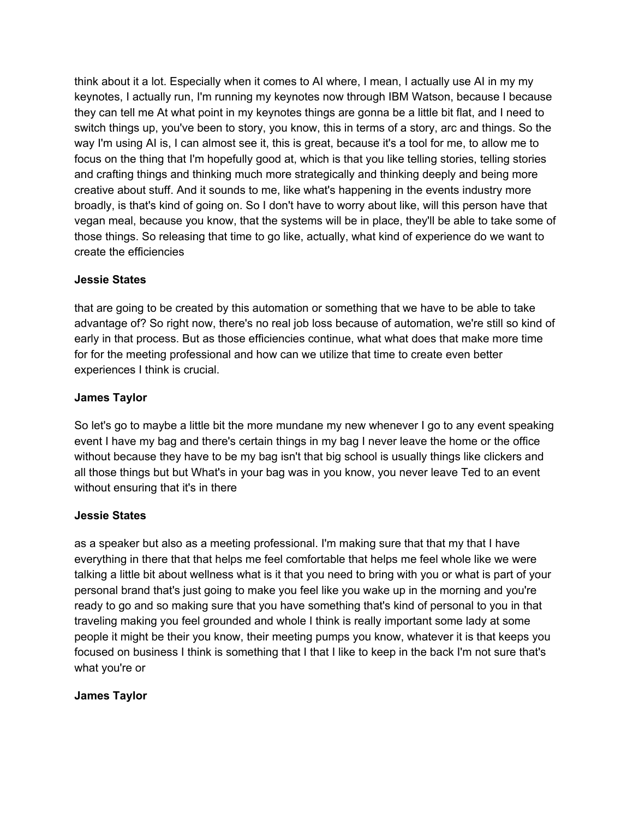think about it a lot. Especially when it comes to AI where, I mean, I actually use AI in my my keynotes, I actually run, I'm running my keynotes now through IBM Watson, because I because they can tell me At what point in my keynotes things are gonna be a little bit flat, and I need to switch things up, you've been to story, you know, this in terms of a story, arc and things. So the way I'm using AI is, I can almost see it, this is great, because it's a tool for me, to allow me to focus on the thing that I'm hopefully good at, which is that you like telling stories, telling stories and crafting things and thinking much more strategically and thinking deeply and being more creative about stuff. And it sounds to me, like what's happening in the events industry more broadly, is that's kind of going on. So I don't have to worry about like, will this person have that vegan meal, because you know, that the systems will be in place, they'll be able to take some of those things. So releasing that time to go like, actually, what kind of experience do we want to create the efficiencies

### **Jessie States**

that are going to be created by this automation or something that we have to be able to take advantage of? So right now, there's no real job loss because of automation, we're still so kind of early in that process. But as those efficiencies continue, what what does that make more time for for the meeting professional and how can we utilize that time to create even better experiences I think is crucial.

### **James Taylor**

So let's go to maybe a little bit the more mundane my new whenever I go to any event speaking event I have my bag and there's certain things in my bag I never leave the home or the office without because they have to be my bag isn't that big school is usually things like clickers and all those things but but What's in your bag was in you know, you never leave Ted to an event without ensuring that it's in there

## **Jessie States**

as a speaker but also as a meeting professional. I'm making sure that that my that I have everything in there that that helps me feel comfortable that helps me feel whole like we were talking a little bit about wellness what is it that you need to bring with you or what is part of your personal brand that's just going to make you feel like you wake up in the morning and you're ready to go and so making sure that you have something that's kind of personal to you in that traveling making you feel grounded and whole I think is really important some lady at some people it might be their you know, their meeting pumps you know, whatever it is that keeps you focused on business I think is something that I that I like to keep in the back I'm not sure that's what you're or

### **James Taylor**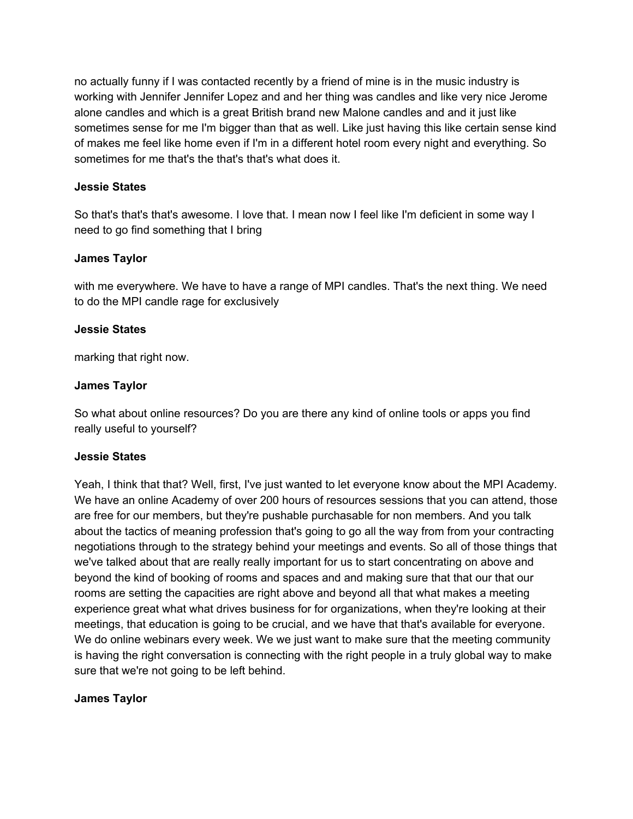no actually funny if I was contacted recently by a friend of mine is in the music industry is working with Jennifer Jennifer Lopez and and her thing was candles and like very nice Jerome alone candles and which is a great British brand new Malone candles and and it just like sometimes sense for me I'm bigger than that as well. Like just having this like certain sense kind of makes me feel like home even if I'm in a different hotel room every night and everything. So sometimes for me that's the that's that's what does it.

## **Jessie States**

So that's that's that's awesome. I love that. I mean now I feel like I'm deficient in some way I need to go find something that I bring

### **James Taylor**

with me everywhere. We have to have a range of MPI candles. That's the next thing. We need to do the MPI candle rage for exclusively

### **Jessie States**

marking that right now.

### **James Taylor**

So what about online resources? Do you are there any kind of online tools or apps you find really useful to yourself?

### **Jessie States**

Yeah, I think that that? Well, first, I've just wanted to let everyone know about the MPI Academy. We have an online Academy of over 200 hours of resources sessions that you can attend, those are free for our members, but they're pushable purchasable for non members. And you talk about the tactics of meaning profession that's going to go all the way from from your contracting negotiations through to the strategy behind your meetings and events. So all of those things that we've talked about that are really really important for us to start concentrating on above and beyond the kind of booking of rooms and spaces and and making sure that that our that our rooms are setting the capacities are right above and beyond all that what makes a meeting experience great what what drives business for for organizations, when they're looking at their meetings, that education is going to be crucial, and we have that that's available for everyone. We do online webinars every week. We we just want to make sure that the meeting community is having the right conversation is connecting with the right people in a truly global way to make sure that we're not going to be left behind.

### **James Taylor**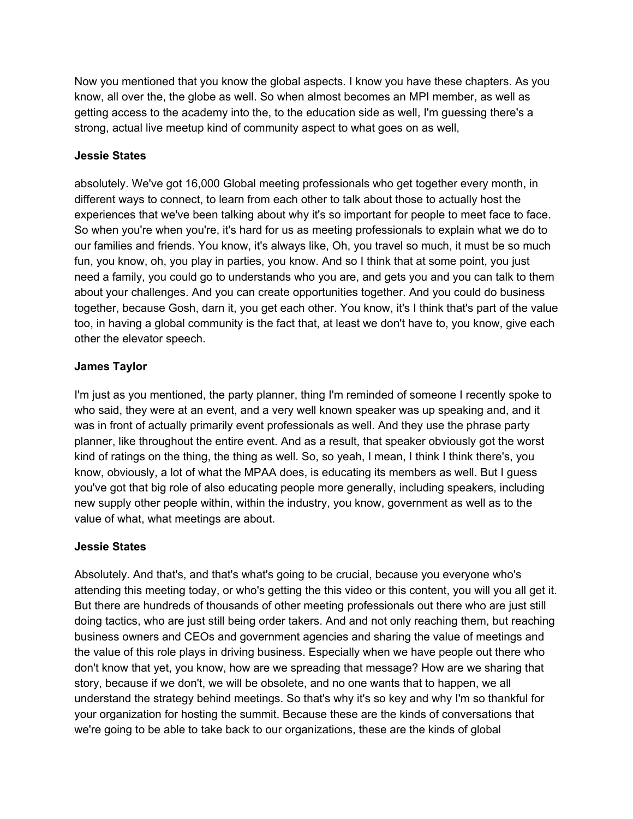Now you mentioned that you know the global aspects. I know you have these chapters. As you know, all over the, the globe as well. So when almost becomes an MPI member, as well as getting access to the academy into the, to the education side as well, I'm guessing there's a strong, actual live meetup kind of community aspect to what goes on as well,

## **Jessie States**

absolutely. We've got 16,000 Global meeting professionals who get together every month, in different ways to connect, to learn from each other to talk about those to actually host the experiences that we've been talking about why it's so important for people to meet face to face. So when you're when you're, it's hard for us as meeting professionals to explain what we do to our families and friends. You know, it's always like, Oh, you travel so much, it must be so much fun, you know, oh, you play in parties, you know. And so I think that at some point, you just need a family, you could go to understands who you are, and gets you and you can talk to them about your challenges. And you can create opportunities together. And you could do business together, because Gosh, darn it, you get each other. You know, it's I think that's part of the value too, in having a global community is the fact that, at least we don't have to, you know, give each other the elevator speech.

### **James Taylor**

I'm just as you mentioned, the party planner, thing I'm reminded of someone I recently spoke to who said, they were at an event, and a very well known speaker was up speaking and, and it was in front of actually primarily event professionals as well. And they use the phrase party planner, like throughout the entire event. And as a result, that speaker obviously got the worst kind of ratings on the thing, the thing as well. So, so yeah, I mean, I think I think there's, you know, obviously, a lot of what the MPAA does, is educating its members as well. But I guess you've got that big role of also educating people more generally, including speakers, including new supply other people within, within the industry, you know, government as well as to the value of what, what meetings are about.

## **Jessie States**

Absolutely. And that's, and that's what's going to be crucial, because you everyone who's attending this meeting today, or who's getting the this video or this content, you will you all get it. But there are hundreds of thousands of other meeting professionals out there who are just still doing tactics, who are just still being order takers. And and not only reaching them, but reaching business owners and CEOs and government agencies and sharing the value of meetings and the value of this role plays in driving business. Especially when we have people out there who don't know that yet, you know, how are we spreading that message? How are we sharing that story, because if we don't, we will be obsolete, and no one wants that to happen, we all understand the strategy behind meetings. So that's why it's so key and why I'm so thankful for your organization for hosting the summit. Because these are the kinds of conversations that we're going to be able to take back to our organizations, these are the kinds of global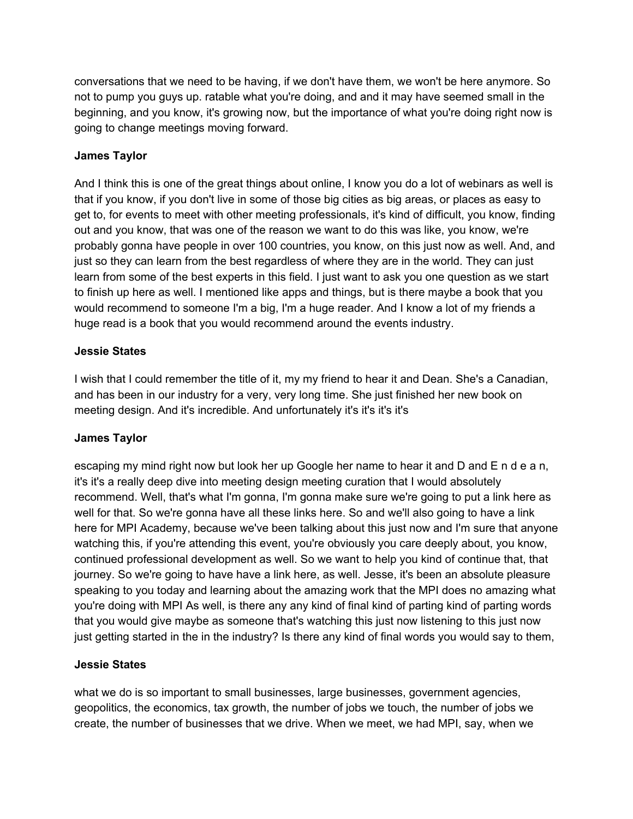conversations that we need to be having, if we don't have them, we won't be here anymore. So not to pump you guys up. ratable what you're doing, and and it may have seemed small in the beginning, and you know, it's growing now, but the importance of what you're doing right now is going to change meetings moving forward.

## **James Taylor**

And I think this is one of the great things about online, I know you do a lot of webinars as well is that if you know, if you don't live in some of those big cities as big areas, or places as easy to get to, for events to meet with other meeting professionals, it's kind of difficult, you know, finding out and you know, that was one of the reason we want to do this was like, you know, we're probably gonna have people in over 100 countries, you know, on this just now as well. And, and just so they can learn from the best regardless of where they are in the world. They can just learn from some of the best experts in this field. I just want to ask you one question as we start to finish up here as well. I mentioned like apps and things, but is there maybe a book that you would recommend to someone I'm a big, I'm a huge reader. And I know a lot of my friends a huge read is a book that you would recommend around the events industry.

## **Jessie States**

I wish that I could remember the title of it, my my friend to hear it and Dean. She's a Canadian, and has been in our industry for a very, very long time. She just finished her new book on meeting design. And it's incredible. And unfortunately it's it's it's it's

# **James Taylor**

escaping my mind right now but look her up Google her name to hear it and D and E n d e a n, it's it's a really deep dive into meeting design meeting curation that I would absolutely recommend. Well, that's what I'm gonna, I'm gonna make sure we're going to put a link here as well for that. So we're gonna have all these links here. So and we'll also going to have a link here for MPI Academy, because we've been talking about this just now and I'm sure that anyone watching this, if you're attending this event, you're obviously you care deeply about, you know, continued professional development as well. So we want to help you kind of continue that, that journey. So we're going to have have a link here, as well. Jesse, it's been an absolute pleasure speaking to you today and learning about the amazing work that the MPI does no amazing what you're doing with MPI As well, is there any any kind of final kind of parting kind of parting words that you would give maybe as someone that's watching this just now listening to this just now just getting started in the in the industry? Is there any kind of final words you would say to them,

## **Jessie States**

what we do is so important to small businesses, large businesses, government agencies, geopolitics, the economics, tax growth, the number of jobs we touch, the number of jobs we create, the number of businesses that we drive. When we meet, we had MPI, say, when we